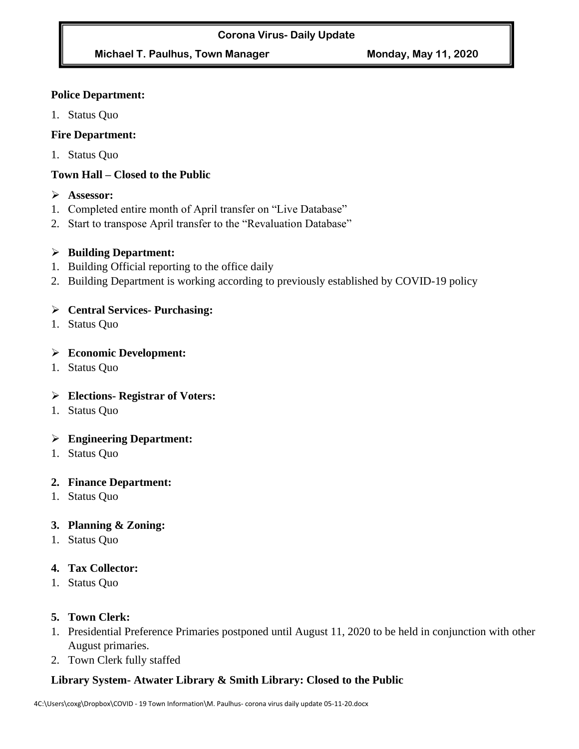# **Michael T. Paulhus, Town Manager Monday, May 11, 2020**

#### **Police Department:**

1. Status Quo

# **Fire Department:**

1. Status Quo

# **Town Hall – Closed to the Public**

- ➢ **Assessor:**
- 1. Completed entire month of April transfer on "Live Database"
- 2. Start to transpose April transfer to the "Revaluation Database"

# ➢ **Building Department:**

- 1. Building Official reporting to the office daily
- 2. Building Department is working according to previously established by COVID-19 policy

#### ➢ **Central Services- Purchasing:**

1. Status Quo

#### ➢ **Economic Development:**

1. Status Quo

# ➢ **Elections- Registrar of Voters:**

1. Status Quo

# ➢ **Engineering Department:**

1. Status Quo

#### **2. Finance Department:**

1. Status Quo

# **3. Planning & Zoning:**

1. Status Quo

# **4. Tax Collector:**

1. Status Quo

# **5. Town Clerk:**

- 1. Presidential Preference Primaries postponed until August 11, 2020 to be held in conjunction with other August primaries.
- 2. Town Clerk fully staffed

# **Library System- Atwater Library & Smith Library: Closed to the Public**